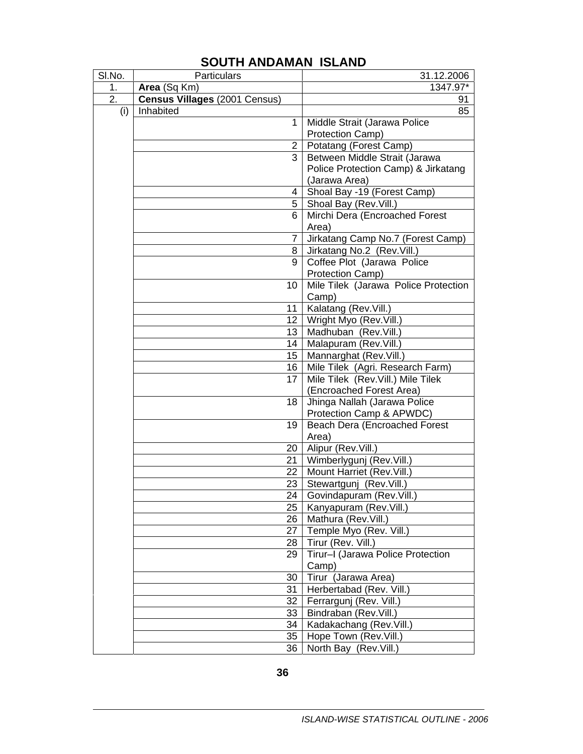| SI.No. | Particulars                   | 31.12.2006                           |  |
|--------|-------------------------------|--------------------------------------|--|
| 1.     | Area (Sq Km)                  | 1347.97*                             |  |
| 2.     | Census Villages (2001 Census) | 91                                   |  |
| (i)    | Inhabited                     | 85                                   |  |
|        | 1                             | Middle Strait (Jarawa Police         |  |
|        |                               | Protection Camp)                     |  |
|        | $\overline{2}$                | Potatang (Forest Camp)               |  |
|        | 3                             | Between Middle Strait (Jarawa        |  |
|        |                               | Police Protection Camp) & Jirkatang  |  |
|        |                               | (Jarawa Area)                        |  |
|        | 4                             | Shoal Bay -19 (Forest Camp)          |  |
|        | 5                             | Shoal Bay (Rev.Vill.)                |  |
|        | 6.                            | Mirchi Dera (Encroached Forest       |  |
|        |                               | Area)                                |  |
|        | 7                             | Jirkatang Camp No.7 (Forest Camp)    |  |
|        | 8                             | Jirkatang No.2 (Rev.Vill.)           |  |
|        | 9                             | Coffee Plot (Jarawa Police           |  |
|        |                               | Protection Camp)                     |  |
|        | 10                            | Mile Tilek (Jarawa Police Protection |  |
|        |                               | Camp)                                |  |
|        | 11                            | Kalatang (Rev. Vill.)                |  |
|        | 12 <sub>2</sub>               | Wright Myo (Rev. Vill.)              |  |
|        | 13                            | Madhuban (Rev.Vill.)                 |  |
|        | 14                            | Malapuram (Rev.Vill.)                |  |
|        | 15                            | Mannarghat (Rev. Vill.)              |  |
|        | 16                            | Mile Tilek (Agri. Research Farm)     |  |
|        | 17                            | Mile Tilek (Rev. Vill.) Mile Tilek   |  |
|        |                               | (Encroached Forest Area)             |  |
|        | 18                            | Jhinga Nallah (Jarawa Police         |  |
|        |                               | Protection Camp & APWDC)             |  |
|        | 19                            | Beach Dera (Encroached Forest        |  |
|        |                               | Area)                                |  |
|        | 20                            | Alipur (Rev.Vill.)                   |  |
|        | 21                            | Wimberlygunj (Rev.Vill.)             |  |
|        | 22 I                          | Mount Harriet (Rev.Vill.)            |  |
|        |                               | 23   Stewartgunj (Rev. Vill.)        |  |
|        |                               | 24   Govindapuram (Rev. Vill.)       |  |
|        | 25                            | Kanyapuram (Rev. Vill.)              |  |
|        | 26                            | Mathura (Rev.Vill.)                  |  |
|        | 27                            | Temple Myo (Rev. Vill.)              |  |
|        | 28                            | Tirur (Rev. Vill.)                   |  |
|        | 29                            | Tirur-I (Jarawa Police Protection    |  |
|        |                               | Camp)                                |  |
|        | 30                            | Tirur (Jarawa Area)                  |  |
|        | 31                            | Herbertabad (Rev. Vill.)             |  |
|        | 32                            | Ferrargunj (Rev. Vill.)              |  |
|        | 33                            | Bindraban (Rev.Vill.)                |  |
|        | 34                            | Kadakachang (Rev. Vill.)             |  |
|        | 35                            | Hope Town (Rev. Vill.)               |  |
|        | 36                            | North Bay (Rev. Vill.)               |  |

## **SOUTH ANDAMAN ISLAND**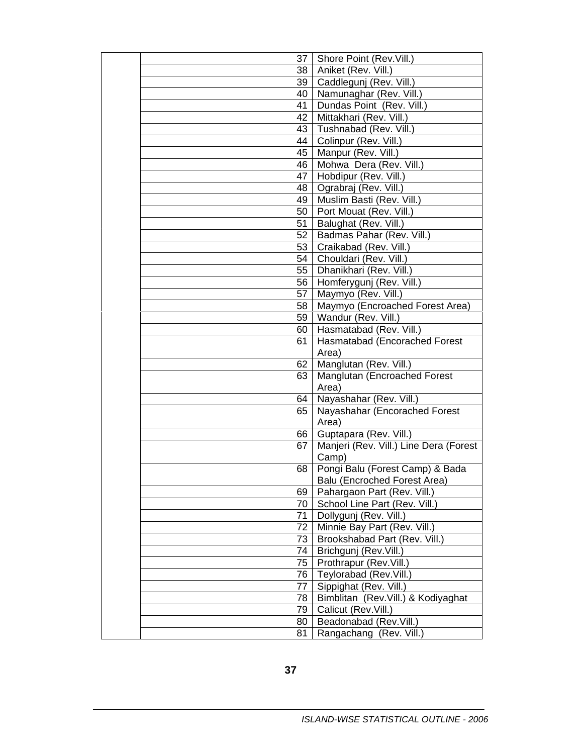| 37 <sub>1</sub> | Shore Point (Rev.Vill.)                |
|-----------------|----------------------------------------|
| 38 <sup>1</sup> | Aniket (Rev. Vill.)                    |
| 39              | Caddlegunj (Rev. Vill.)                |
| 40 l            | Namunaghar (Rev. Vill.)                |
| 41              | Dundas Point (Rev. Vill.)              |
| 42              | Mittakhari (Rev. Vill.)                |
| 43              | Tushnabad (Rev. Vill.)                 |
| 44              | Colinpur (Rev. Vill.)                  |
| 45              | Manpur (Rev. Vill.)                    |
| 46              | Mohwa Dera (Rev. Vill.)                |
| 47              | Hobdipur (Rev. Vill.)                  |
| 48              | Ograbraj (Rev. Vill.)                  |
| 49              | Muslim Basti (Rev. Vill.)              |
| 50 <sub>1</sub> | Port Mouat (Rev. Vill.)                |
| 51              | Balughat (Rev. Vill.)                  |
| 52              | Badmas Pahar (Rev. Vill.)              |
| 53              | Craikabad (Rev. Vill.)                 |
| 54 I            | Chouldari (Rev. Vill.)                 |
| 55              | Dhanikhari (Rev. Vill.)                |
| 56              | Homferygunj (Rev. Vill.)               |
| 57              | Maymyo (Rev. Vill.)                    |
| 58              | Maymyo (Encroached Forest Area)        |
| 59              | Wandur (Rev. Vill.)                    |
| 60              | Hasmatabad (Rev. Vill.)                |
| 61              | Hasmatabad (Encorached Forest          |
|                 | Area)                                  |
| 62              | Manglutan (Rev. Vill.)                 |
| 63              | Manglutan (Encroached Forest           |
|                 | Area)                                  |
| 64              | Nayashahar (Rev. Vill.)                |
| 65              | Nayashahar (Encorached Forest          |
|                 | Area)                                  |
| 66              | Guptapara (Rev. Vill.)                 |
| 67              | Manjeri (Rev. Vill.) Line Dera (Forest |
|                 | Camp)                                  |
| 68 l            | Pongi Balu (Forest Camp) & Bada        |
|                 | Balu (Encroched Forest Area)           |
| 69              | Pahargaon Part (Rev. Vill.)            |
| 70              | School Line Part (Rev. Vill.)          |
| 71              | Dollygunj (Rev. Vill.)                 |
| 72.             | Minnie Bay Part (Rev. Vill.)           |
| 73              | Brookshabad Part (Rev. Vill.)          |
| 74              | Brichgunj (Rev.Vill.)                  |
| 75              | Prothrapur (Rev.Vill.)                 |
| 76              | Teylorabad (Rev.Vill.)                 |
| 77              | Sippighat (Rev. Vill.)                 |
| 78              | Bimblitan (Rev.Vill.) & Kodiyaghat     |
| 79              | Calicut (Rev.Vill.)                    |
| 80              | Beadonabad (Rev.Vill.)                 |
| 81              | Rangachang (Rev. Vill.)                |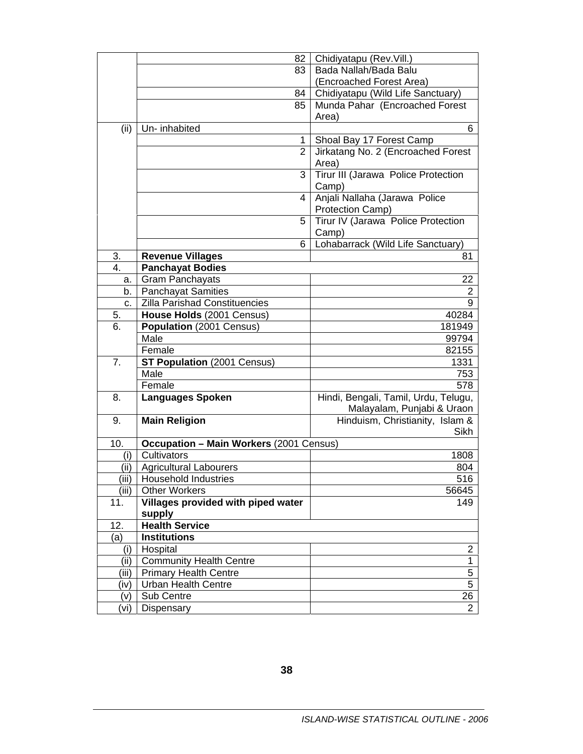|       | 82                                             | Chidiyatapu (Rev.Vill.)                                            |  |
|-------|------------------------------------------------|--------------------------------------------------------------------|--|
|       | 83                                             | Bada Nallah/Bada Balu                                              |  |
|       |                                                | (Encroached Forest Area)                                           |  |
|       | 84                                             | Chidiyatapu (Wild Life Sanctuary)                                  |  |
|       | 85                                             | Munda Pahar (Encroached Forest                                     |  |
|       |                                                | Area)                                                              |  |
| (ii)  | Un- inhabited                                  | 6                                                                  |  |
|       | $\mathbf 1$                                    | Shoal Bay 17 Forest Camp                                           |  |
|       | 2                                              | Jirkatang No. 2 (Encroached Forest<br>Area)                        |  |
|       | 3                                              | Tirur III (Jarawa Police Protection<br>Camp)                       |  |
|       | $\overline{4}$                                 | Anjali Nallaha (Jarawa Police                                      |  |
|       |                                                | Protection Camp)                                                   |  |
|       | 5                                              | Tirur IV (Jarawa Police Protection                                 |  |
|       |                                                | Camp)                                                              |  |
|       | 6                                              | Lohabarrack (Wild Life Sanctuary)                                  |  |
| 3.    | <b>Revenue Villages</b>                        | 81                                                                 |  |
| 4.    | <b>Panchayat Bodies</b>                        |                                                                    |  |
| a.    | <b>Gram Panchayats</b>                         | 22                                                                 |  |
| b.    | <b>Panchayat Samities</b>                      | $\overline{2}$                                                     |  |
| c.    | <b>Zilla Parishad Constituencies</b>           | 9                                                                  |  |
| 5.    | House Holds (2001 Census)                      | 40284                                                              |  |
| 6.    | Population (2001 Census)                       | 181949                                                             |  |
|       | Male                                           | 99794                                                              |  |
|       | Female                                         | 82155                                                              |  |
| 7.    | <b>ST Population (2001 Census)</b>             | 1331                                                               |  |
|       | Male                                           | 753                                                                |  |
|       | Female                                         | 578                                                                |  |
| 8.    | <b>Languages Spoken</b>                        | Hindi, Bengali, Tamil, Urdu, Telugu,<br>Malayalam, Punjabi & Uraon |  |
| 9.    | <b>Main Religion</b>                           | Hinduism, Christianity, Islam &                                    |  |
|       |                                                | Sikh                                                               |  |
| 10.   | <b>Occupation - Main Workers (2001 Census)</b> |                                                                    |  |
| (i)   | Cultivators                                    | 1808                                                               |  |
| (ii)  | <b>Agricultural Labourers</b>                  | 804                                                                |  |
|       | (iii)   Household Industries                   | 516                                                                |  |
| (iii) | <b>Other Workers</b>                           | 56645                                                              |  |
| 11.   | Villages provided with piped water             | 149                                                                |  |
|       | supply<br><b>Health Service</b>                |                                                                    |  |
| 12.   | <b>Institutions</b>                            |                                                                    |  |
| (a)   | Hospital                                       | 2                                                                  |  |
| (i)   |                                                | $\mathbf{1}$                                                       |  |
| (ii)  | <b>Community Health Centre</b>                 |                                                                    |  |
| (iii) | <b>Primary Health Centre</b>                   | $\mathbf 5$<br>$\overline{5}$                                      |  |
| (iv)  | <b>Urban Health Centre</b>                     |                                                                    |  |
| (v)   | Sub Centre                                     | 26                                                                 |  |
| (vi)  | Dispensary                                     | $\overline{2}$                                                     |  |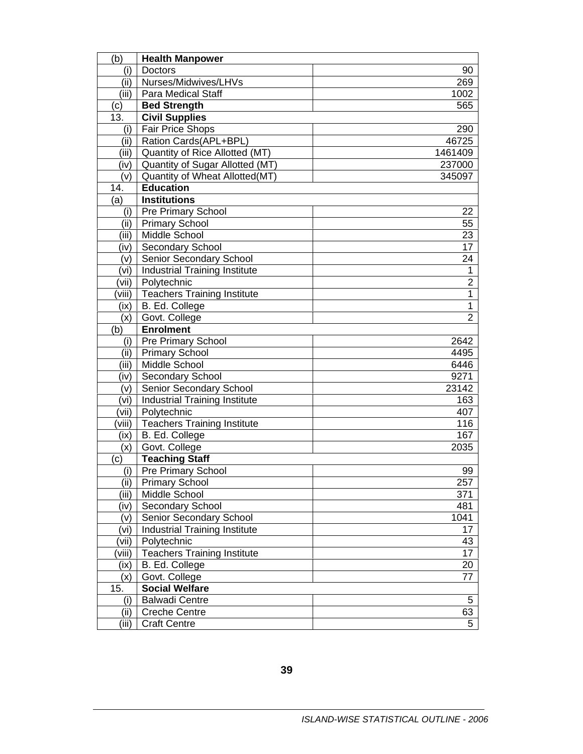| (b)         | <b>Health Manpower</b>                             |                |
|-------------|----------------------------------------------------|----------------|
| (i)         | <b>Doctors</b>                                     | 90             |
| (ii)        | Nurses/Midwives/LHVs                               | 269            |
|             | (iii)   Para Medical Staff                         | 1002           |
| (c)         | <b>Bed Strength</b>                                | 565            |
| 13.         | <b>Civil Supplies</b>                              |                |
| (i)         | Fair Price Shops                                   | 290            |
| (ii)        | Ration Cards(APL+BPL)                              | 46725          |
| (iii)       | Quantity of Rice Allotted (MT)                     | 1461409        |
| (iv)        | Quantity of Sugar Allotted (MT)                    | 237000         |
| (v)         | Quantity of Wheat Allotted(MT)                     | 345097         |
| 14.         | <b>Education</b>                                   |                |
| (a)         | <b>Institutions</b>                                |                |
| (i)         | <b>Pre Primary School</b>                          | 22             |
| (ii)        | <b>Primary School</b>                              | 55             |
| (iii)       | Middle School                                      | 23             |
| (iv)        | Secondary School                                   | 17             |
| (v)         | Senior Secondary School                            | 24             |
| (vi)        | <b>Industrial Training Institute</b>               | $\mathbf{1}$   |
| (vii)       | Polytechnic                                        | $\overline{2}$ |
| (viii)      | <b>Teachers Training Institute</b>                 | $\mathbf 1$    |
| (ix)        | B. Ed. College                                     | $\overline{1}$ |
| (x)         | Govt. College<br><b>Enrolment</b>                  | $\overline{2}$ |
| (b)         |                                                    | 2642           |
| (i)<br>(ii) | <b>Pre Primary School</b><br><b>Primary School</b> | 4495           |
| (iii)       | <b>Middle School</b>                               | 6446           |
| (iv)        | Secondary School                                   | 9271           |
| (v)         | Senior Secondary School                            | 23142          |
| (vi)        | <b>Industrial Training Institute</b>               | 163            |
| (vii)       | Polytechnic                                        | 407            |
| viii)       | <b>Teachers Training Institute</b>                 | 116            |
| (ix)        | B. Ed. College                                     | 167            |
| (x)         | Govt. College                                      | 2035           |
| (c)         | <b>Teaching Staff</b>                              |                |
| (i)         | <b>Pre Primary School</b>                          | 99             |
| (ii)        | <b>Primary School</b>                              | 257            |
| (iii)       | Middle School                                      | 371            |
| (iv)        | Secondary School                                   | 481            |
| (v)         | Senior Secondary School                            | 1041           |
| (vi)        | <b>Industrial Training Institute</b>               | 17             |
| (vii)       | Polytechnic                                        | 43             |
| (viii)      | <b>Teachers Training Institute</b>                 | 17             |
| (ix)        | B. Ed. College                                     | 20             |
| (x)         | Govt. College                                      | 77             |
| 15.         | <b>Social Welfare</b>                              |                |
| (i)         | <b>Balwadi Centre</b>                              | 5              |
| (ii)        | <b>Creche Centre</b>                               | 63             |
| (iii)       | Craft Centre                                       | 5              |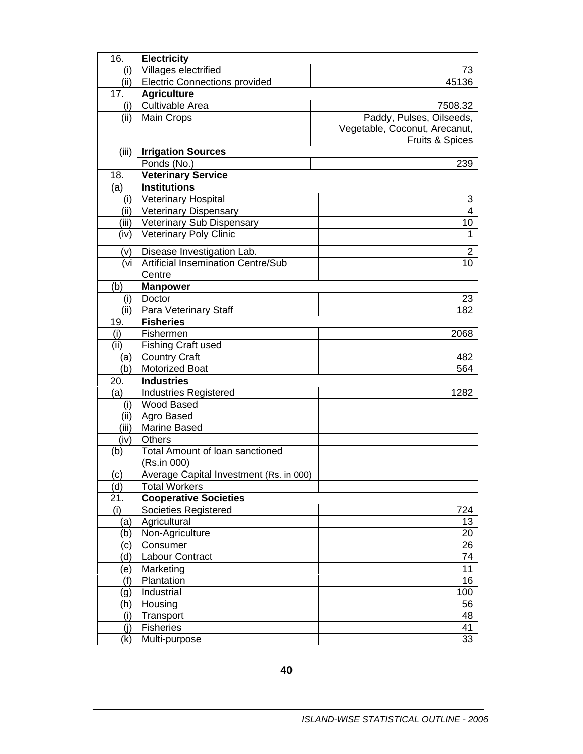| 16.   | <b>Electricity</b>                        |                               |
|-------|-------------------------------------------|-------------------------------|
| (i)   | Villages electrified                      | 73                            |
| (ii)  | <b>Electric Connections provided</b>      | 45136                         |
| 17.   | <b>Agriculture</b>                        |                               |
| (i)   | <b>Cultivable Area</b>                    | 7508.32                       |
| (ii)  | Main Crops                                | Paddy, Pulses, Oilseeds,      |
|       |                                           | Vegetable, Coconut, Arecanut, |
|       |                                           | Fruits & Spices               |
| (iii) | <b>Irrigation Sources</b>                 |                               |
|       | Ponds (No.)                               | 239                           |
| 18.   | <b>Veterinary Service</b>                 |                               |
| (a)   | <b>Institutions</b>                       |                               |
| (i)   | Veterinary Hospital                       | 3                             |
| (ii)  | Veterinary Dispensary                     | $\overline{4}$                |
| (iii) | Veterinary Sub Dispensary                 | 10                            |
| (iv)  | <b>Veterinary Poly Clinic</b>             | 1                             |
|       |                                           |                               |
| (v)   | Disease Investigation Lab.                | $\overline{2}$                |
| (vi   | <b>Artificial Insemination Centre/Sub</b> | 10                            |
|       | Centre                                    |                               |
| (b)   | <b>Manpower</b>                           |                               |
| (i)   | Doctor                                    | 23                            |
| (ii)  | Para Veterinary Staff                     | 182                           |
| 19.   | <b>Fisheries</b>                          |                               |
| (i)   | Fishermen                                 | 2068                          |
| (ii)  | <b>Fishing Craft used</b>                 |                               |
| (a)   | <b>Country Craft</b>                      | 482                           |
| (b)   | Motorized Boat                            | 564                           |
| 20.   | <b>Industries</b>                         |                               |
| (a)   | <b>Industries Registered</b>              | 1282                          |
| (i)   | Wood Based                                |                               |
| (ii)  | Agro Based                                |                               |
| (iii) | Marine Based                              |                               |
| (iv)  | <b>Others</b>                             |                               |
| (b)   | Total Amount of Ioan sanctioned           |                               |
|       | (Rs.in 000)                               |                               |
| (c)   | Average Capital Investment (Rs. in 000)   |                               |
| (d)   | <b>Total Workers</b>                      |                               |
| 21.   | <b>Cooperative Societies</b>              |                               |
| (i)   | Societies Registered                      | 724                           |
| (a)   | Agricultural                              | 13                            |
| (b)   | Non-Agriculture                           | 20                            |
| (c)   | Consumer                                  | 26                            |
| (d)   | <b>Labour Contract</b>                    | 74                            |
| (e)   | Marketing                                 | 11                            |
| (f)   | Plantation                                | 16                            |
| (g)   | Industrial                                | 100                           |
| (h)   | Housing                                   | 56                            |
| (i)   | Transport                                 | 48                            |
| (i)   | <b>Fisheries</b>                          | 41                            |
| (k)   | Multi-purpose                             | 33                            |